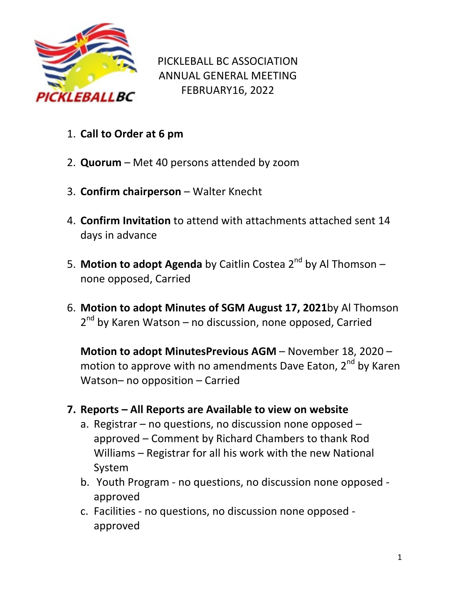

PICKLEBALL BC ASSOCIATION ANNUAL GENERAL MEETING FEBRUARY16, 2022

- 1. **Call to Order at 6 pm**
- 2. **Quorum** Met 40 persons attended by zoom
- 3. **Confirm chairperson**  Walter Knecht
- 4. **Confirm Invitation** to attend with attachments attached sent 14 days in advance
- 5. Motion to adopt Agenda by Caitlin Costea 2<sup>nd</sup> by Al Thomson none opposed, Carried
- 6. **Motion to adopt Minutes of SGM August 17, 2021**by Al Thomson 2<sup>nd</sup> by Karen Watson – no discussion, none opposed, Carried

**Motion to adopt MinutesPrevious AGM** – November 18, 2020 – motion to approve with no amendments Dave Eaton, 2<sup>nd</sup> by Karen Watson– no opposition – Carried

## **7. Reports – All Reports are Available to view on website**

- a. Registrar no questions, no discussion none opposed approved – Comment by Richard Chambers to thank Rod Williams – Registrar for all his work with the new National System
- b. Youth Program no questions, no discussion none opposed approved
- c. Facilities no questions, no discussion none opposed approved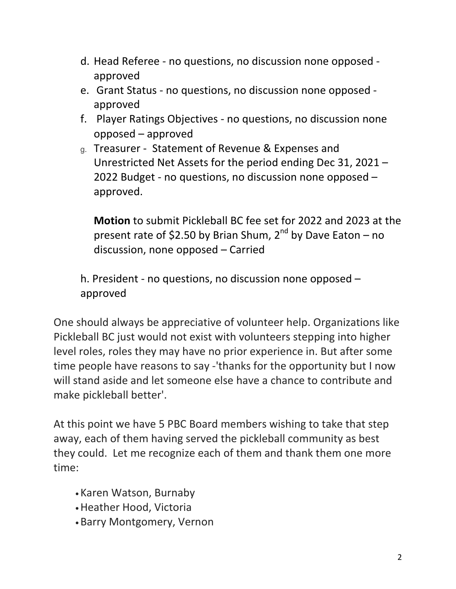- d. Head Referee no questions, no discussion none opposed approved
- e. Grant Status no questions, no discussion none opposed approved
- f. Player Ratings Objectives no questions, no discussion none opposed – approved
- g. Treasurer Statement of Revenue & Expenses and Unrestricted Net Assets for the period ending Dec 31, 2021 – 2022 Budget - no questions, no discussion none opposed – approved.

**Motion** to submit Pickleball BC fee set for 2022 and 2023 at the present rate of \$2.50 by Brian Shum,  $2^{nd}$  by Dave Eaton – no discussion, none opposed – Carried

h. President - no questions, no discussion none opposed – approved

One should always be appreciative of volunteer help. Organizations like Pickleball BC just would not exist with volunteers stepping into higher level roles, roles they may have no prior experience in. But after some time people have reasons to say -'thanks for the opportunity but I now will stand aside and let someone else have a chance to contribute and make pickleball better'.

At this point we have 5 PBC Board members wishing to take that step away, each of them having served the pickleball community as best they could. Let me recognize each of them and thank them one more time:

- Karen Watson, Burnaby
- •Heather Hood, Victoria
- •Barry Montgomery, Vernon